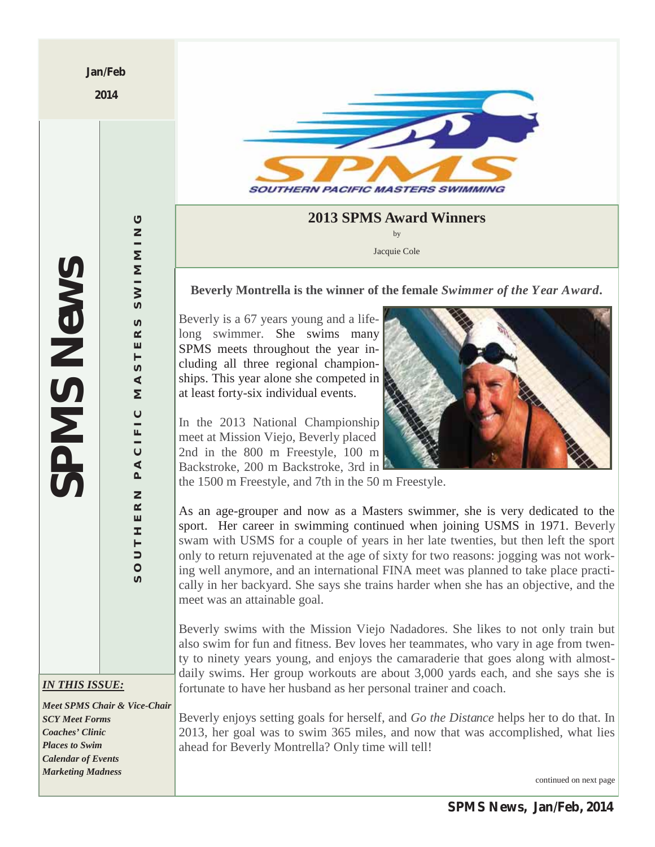**Jan/Feb** 

**2014** 



# **2013 SPMS Award Winners** by

Jacquie Cole

## **Beverly Montrella is the winner of the female** *Swimmer of the Year Award.*

Beverly is a 67 years young and a lifelong swimmer. She swims many SPMS meets throughout the year including all three regional championships. This year alone she competed in at least forty-six individual events.

In the 2013 National Championship meet at Mission Viejo, Beverly placed 2nd in the 800 m Freestyle, 100 m Backstroke, 200 m Backstroke, 3rd in



the 1500 m Freestyle, and 7th in the 50 m Freestyle.

As an age-grouper and now as a Masters swimmer, she is very dedicated to the sport. Her career in swimming continued when joining USMS in 1971. Beverly swam with USMS for a couple of years in her late twenties, but then left the sport only to return rejuvenated at the age of sixty for two reasons: jogging was not working well anymore, and an international FINA meet was planned to take place practically in her backyard. She says she trains harder when she has an objective, and the meet was an attainable goal.

Beverly swims with the Mission Viejo Nadadores. She likes to not only train but also swim for fun and fitness. Bev loves her teammates, who vary in age from twenty to ninety years young, and enjoys the camaraderie that goes along with almostdaily swims. Her group workouts are about 3,000 yards each, and she says she is fortunate to have her husband as her personal trainer and coach.

Beverly enjoys setting goals for herself, and *Go the Distance* helps her to do that. In 2013, her goal was to swim 365 miles, and now that was accomplished, what lies ahead for Beverly Montrella? Only time will tell!

continued on next page

 $\circ$ **SOUTHERN PACIFIC MASTERS SWIMMING** WIMMIN ဖ  $\omega$  $\propto$ ш  $\vdash$  $\mathfrak o$  $\blacktriangleleft$ Σ  $\circ$  $\frac{1}{2}$  $\overline{C}$  $\blacktriangleleft$  $\Delta$  $\overline{z}$  $\alpha$ ш **I**  $\vdash$  $\supset$  $\circ$ 

*SPMS News*

**SPMS News** 

*IN THIS ISSUE:* 

*Meet SPMS Chair & Vice-Chair SCY Meet Forms Coaches' Clinic Places to Swim Calendar of Events Marketing Madness*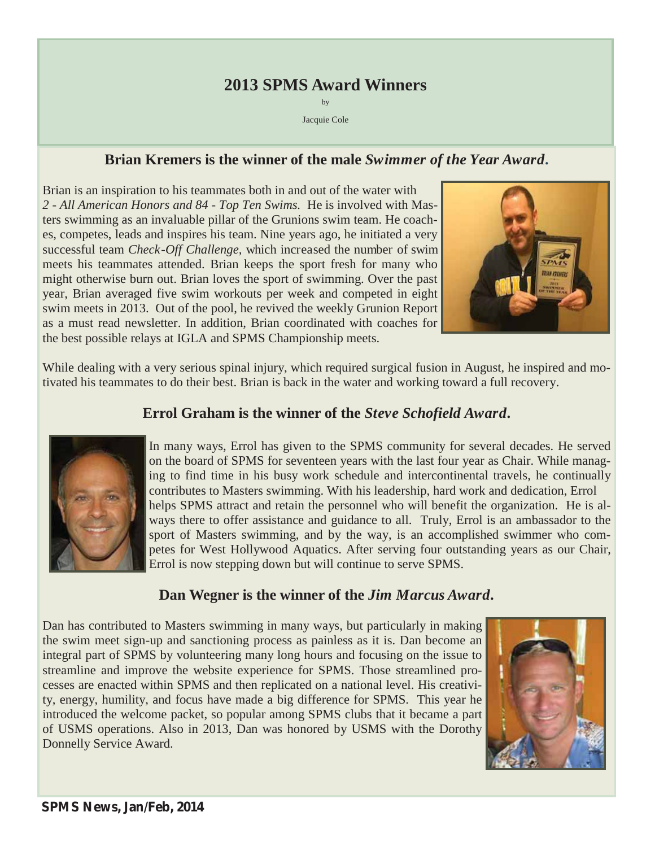# **2013 SPMS Award Winners**

by Jacquie Cole

# **Brian Kremers is the winner of the male** *Swimmer of the Year Award.*

Brian is an inspiration to his teammates both in and out of the water with *2 - All American Honors and 84 - Top Ten Swims.* He is involved with Masters swimming as an invaluable pillar of the Grunions swim team. He coaches, competes, leads and inspires his team. Nine years ago, he initiated a very successful team *Check-Off Challenge,* which increased the number of swim meets his teammates attended. Brian keeps the sport fresh for many who might otherwise burn out. Brian loves the sport of swimming. Over the past year, Brian averaged five swim workouts per week and competed in eight swim meets in 2013. Out of the pool, he revived the weekly Grunion Report as a must read newsletter. In addition, Brian coordinated with coaches for the best possible relays at IGLA and SPMS Championship meets.



While dealing with a very serious spinal injury, which required surgical fusion in August, he inspired and motivated his teammates to do their best. Brian is back in the water and working toward a full recovery.

# **Errol Graham is the winner of the** *Steve Schofield Award.*



In many ways, Errol has given to the SPMS community for several decades. He served on the board of SPMS for seventeen years with the last four year as Chair. While managing to find time in his busy work schedule and intercontinental travels, he continually contributes to Masters swimming. With his leadership, hard work and dedication, Errol helps SPMS attract and retain the personnel who will benefit the organization. He is always there to offer assistance and guidance to all. Truly, Errol is an ambassador to the sport of Masters swimming, and by the way, is an accomplished swimmer who competes for West Hollywood Aquatics. After serving four outstanding years as our Chair, Errol is now stepping down but will continue to serve SPMS.

# **Dan Wegner is the winner of the** *Jim Marcus Award.*

Dan has contributed to Masters swimming in many ways, but particularly in making the swim meet sign-up and sanctioning process as painless as it is. Dan become an integral part of SPMS by volunteering many long hours and focusing on the issue to streamline and improve the website experience for SPMS. Those streamlined processes are enacted within SPMS and then replicated on a national level. His creativity, energy, humility, and focus have made a big difference for SPMS. This year he introduced the welcome packet, so popular among SPMS clubs that it became a part of USMS operations. Also in 2013, Dan was honored by USMS with the Dorothy Donnelly Service Award.

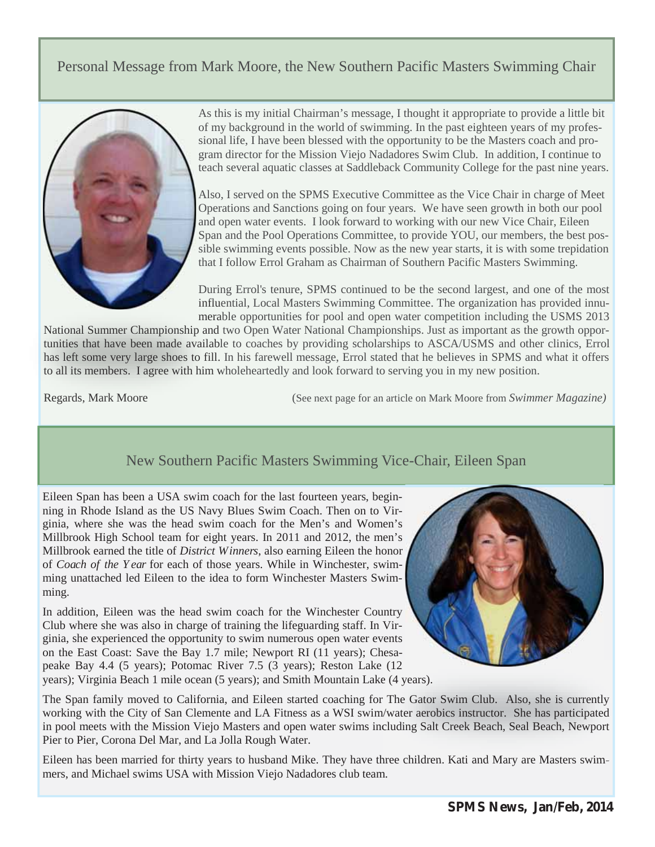# Personal Message from Mark Moore, the New Southern Pacific Masters Swimming Chair



As this is my initial Chairman's message, I thought it appropriate to provide a little bit of my background in the world of swimming. In the past eighteen years of my professional life, I have been blessed with the opportunity to be the Masters coach and program director for the Mission Viejo Nadadores Swim Club. In addition, I continue to teach several aquatic classes at Saddleback Community College for the past nine years.

Also, I served on the SPMS Executive Committee as the Vice Chair in charge of Meet Operations and Sanctions going on four years. We have seen growth in both our pool and open water events. I look forward to working with our new Vice Chair, Eileen Span and the Pool Operations Committee, to provide YOU, our members, the best possible swimming events possible. Now as the new year starts, it is with some trepidation that I follow Errol Graham as Chairman of Southern Pacific Masters Swimming.

During Errol's tenure, SPMS continued to be the second largest, and one of the most influential, Local Masters Swimming Committee. The organization has provided innu-influ merable opportunities for pool and open water competition including the USMS 2013 mera

National Summer Championship and two Open Water National Championships. Just as important as the growth opportunities that have been made available to coaches by providing scholarships to ASCA/USMS and other clinics, Errol has left some very large shoes to fill. In his farewell message, Errol stated that he believes in SPMS and what it offers to all its members. I agree with him wholeheartedly and look forward to serving you in my new position.

Regards, Mark Moore

(See next page for an article on Mark Moore from *Swimmer Magazine*)

# New Southern Pacific Masters Swimming Vice-Chair, Eileen Span

Eileen Span has been a USA swim coach for the last fourteen years, beginning in Rhode Island as the US Navy Blues Swim Coach. Then on to Virginia, where she was the head swim coach for the Men's and Women's Millbrook High School team for eight years. In 2011 and 2012, the men's Millbrook earned the title of *District Winners*, also earning Eileen the honor of *Coach of the Y ear* for each of those years. While in Winchester, swimming unattached led Eileen to the idea to form Winchester Masters Swimming.

In addition, Eileen was the head swim coach for the Winchester Country Club where she was also in charge of training the lifeguarding staff. In Virginia, she experienced the opportunity to swim numerous open water events on the East Coast: Save the Bay 1.7 mile; Newport RI (11 years); Chesapeake Bay 4.4 (5 years); Potomac River 7.5 (3 years); Reston Lake (12 years); Virginia Beach 1 mile ocean (5 years); and Smith Mountain Lake (4 years).



years); Virginia Beach 1 mile ocean (5 years); and Smith Mountain Lake (4 years).<br>The Span family moved to California, and Eileen started coaching for The Gator Swim Club. Also, she is currently working with the City of San Clemente and LA Fitness as a WSI swim/water aerobics instructor. She has participated in pool meets with the Mission Viejo Masters and open water swims including Salt Creek Beach, Seal Beach, Newport Pier to Pier, Corona Del Mar, and La Jolla Rough Water. m/water aerobics instructor. She has participated including Salt Creek Beach, Seal Beach, Newport<br>three children. Kati and Mary are Masters swim-

Eileen has been married for thirty years to husband Mike. They have three children. Kati and Mary are Masters swimmers, and Michael swims USA with Mission Viejo Nadadores club team.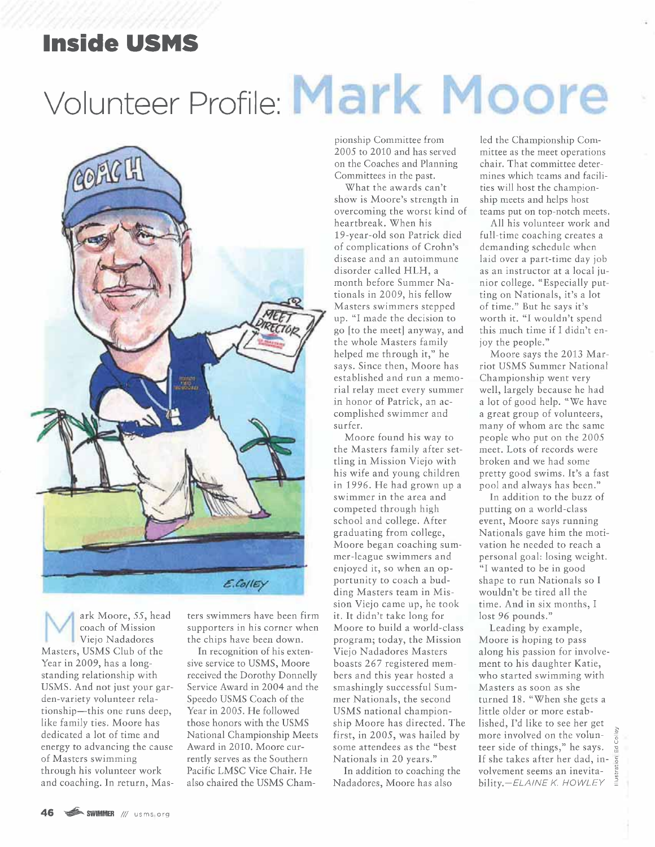# **Inside USMS**

# Volunteer Profile: Mark Moore



ark Moore, 55, head coach of Mission Viejo Nadadores Masters, USMS Club of the Year in 2009, has a longstanding relationship with USMS. And not just your garden-variety volunteer relationship-this one runs deep, like family ties. Moore has dedicated a lot of time and energy to advancing the cause of Masters swimming through his volunteer work and coaching. In return, Mas-

ters swimmers have been firm supporters in his corner when the chips have been down.

In recognition of his extensive service to USMS, Moore received the Dorothy Donnelly Service Award in 2004 and the Speedo USMS Coach of the Year in 2005. He followed those honors with the USMS National Championship Meets Award in 2010. Moore currently serves as the Southern Pacific LMSC Vice Chair. He also chaired the USMS Championship Committee from 2005 to 2010 and has served on the Coaches and Planning Committees in the past.

What the awards can't show is Moore's strength in overcoming the worst kind of heartbreak. When his 19-year-old son Patrick died of complications of Crohn's disease and an autoimmune disorder called HLH, a month before Summer Nationals in 2009, his fellow Masters swimmers stepped up. "I made the decision to go [to the meet] anyway, and the whole Masters family helped me through it," he says. Since then, Moore has established and run a memorial relay meet every summer in honor of Patrick, an accomplished swimmer and surfer.

Moore found his way to the Masters family after settling in Mission Viejo with his wife and young children in 1996. He had grown up a swimmer in the area and competed through high school and college. After graduating from college, Moore began coaching summer-league swimmers and enjoyed it, so when an opportunity to coach a budding Masters team in Mission Viejo came up, he took it. It didn't take long for Moore to build a world-class program; today, the Mission Viejo Nadadores Masters boasts 267 registered members and this year hosted a smashingly successful Summer Nationals, the second USMS national championship Moore has directed. The first, in 2005, was hailed by some attendees as the "best Nationals in 20 years."

In addition to coaching the Nadadores, Moore has also

led the Championship Committee as the meet operations chair. That committee determines which teams and facilities will host the championship meets and helps host teams put on top-notch meets.

All his volunteer work and full-time coaching creates a demanding schedule when laid over a part-time day job as an instructor at a local junior college. "Especially putting on Nationals, it's a lot of time." But he says it's worth it. "I wouldn't spend this much time if I didn't enjoy the people."

Moore says the 2013 Marriot USMS Summer National Championship went very well, largely because he had a lot of good help. "We have a great group of volunteers, many of whom are the same people who put on the 2005 meet. Lots of records were broken and we had some pretty good swims. It's a fast pool and always has been."

In addition to the buzz of putting on a world-class event, Moore says running Nationals gave him the motivation he needed to reach a personal goal: losing weight. "I wanted to be in good shape to run Nationals so I wouldn't be tired all the time. And in six months, I lost 96 pounds."

Leading by example, Moore is hoping to pass along his passion for involvement to his daughter Katie, who started swimming with Masters as soon as she turned 18. "When she gets a little older or more established, I'd like to see her get more involved on the volunteer side of things," he says. If she takes after her dad, involvement seems an inevitability.-ELAINE K. HOWLEY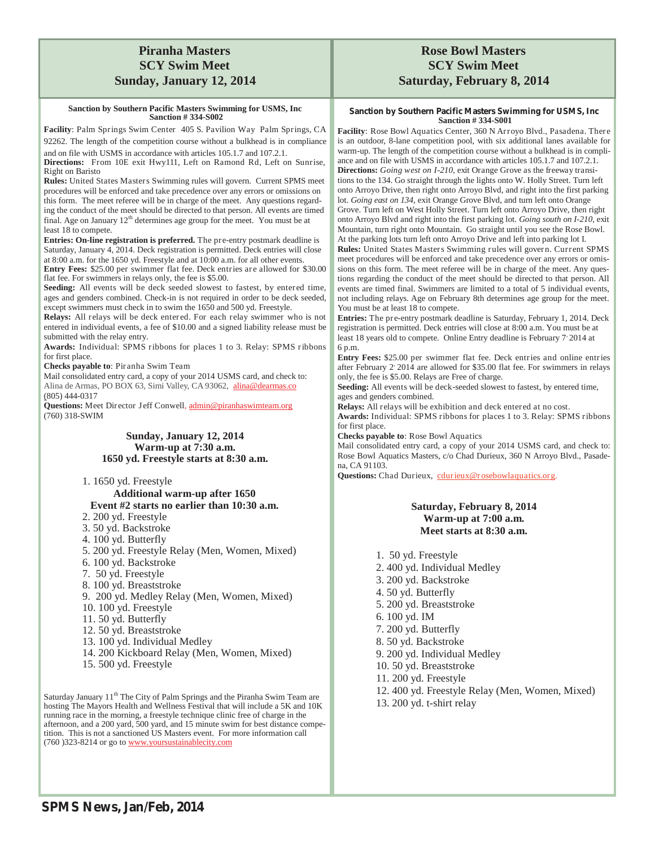## **Piranha Masters SCY Swim Meet Sunday, January 12, 2014**

#### **Sanction by Southern Pacific Masters Swimming for USMS, Inc Sanction # 334-S002**

**Facility**: Palm Springs Swim Center 405 S. Pavilion Way Palm Springs, CA 92262. The length of the competition course without a bulkhead is in compliance and on file with USMS in accordance with articles 105.1.7 and 107.2.1.

**Directions:** From 10E exit Hwy111, Left on Ramond Rd, Left on Sunrise, Right on Baristo

**Rules:** United States Masters Swimming rules will govern. Current SPMS meet procedures will be enforced and take precedence over any errors or omissions on this form. The meet referee will be in charge of the meet. Any questions regarding the conduct of the meet should be directed to that person. All events are timed final. Age on January  $12<sup>th</sup>$  determines age group for the meet. You must be at least 18 to compete.

**Entries: On-line registration is preferred.** The pre-entry postmark deadline is Saturday, January 4, 2014. Deck registration is permitted. Deck entries will close at 8:00 a.m. for the 1650 yd. Freestyle and at 10:00 a.m. for all other events.

**Entry Fees:** \$25.00 per swimmer flat fee. Deck entries are allowed for \$30.00 flat fee. For swimmers in relays only, the fee is \$5.00.

**Seeding:** All events will be deck seeded slowest to fastest, by entered time, ages and genders combined. Check-in is not required in order to be deck seeded, except swimmers must check in to swim the 1650 and 500 yd. Freestyle.

**Relays:** All relays will be deck entered. For each relay swimmer who is not entered in individual events, a fee of \$10.00 and a signed liability release must be submitted with the relay entry.

**Awards:** Individual: SPMS ribbons for places 1 to 3. Relay: SPMS ribbons for first place.

**Checks payable to**: Piranha Swim Team

Mail consolidated entry card, a copy of your 2014 USMS card, and check to: Alina de Armas, PO BOX 63, Simi Valley, CA 93062, alina@dearmas.co (805) 444-0317

**Questions:** Meet Director Jeff Conwell, admin@piranhaswimteam.org (760) 318-SWIM

#### **Sunday, January 12, 2014 Warm-up at 7:30 a.m. 1650 yd. Freestyle starts at 8:30 a.m.**

1. 1650 yd. Freestyle

**Additional warm-up after 1650 Event #2 starts no earlier than 10:30 a.m.** 

- 2. 200 yd. Freestyle
- 3. 50 yd. Backstroke
- 4. 100 yd. Butterfly
- 5. 200 yd. Freestyle Relay (Men, Women, Mixed)
- 6. 100 yd. Backstroke
- 7. 50 yd. Freestyle
- 8. 100 yd. Breaststroke
- 9. 200 yd. Medley Relay (Men, Women, Mixed)
- 10. 100 yd. Freestyle
- 11. 50 yd. Butterfly
- 12. 50 yd. Breaststroke
- 13. 100 yd. Individual Medley
- 14. 200 Kickboard Relay (Men, Women, Mixed)
- 15. 500 yd. Freestyle

Saturday January  $11<sup>th</sup>$  The City of Palm Springs and the Piranha Swim Team are hosting The Mayors Health and Wellness Festival that will include a 5K and 10K running race in the morning, a freestyle technique clinic free of charge in the afternoon, and a 200 yard, 500 yard, and 15 minute swim for best distance competition. This is not a sanctioned US Masters event. For more information call (760 )323-8214 or go to www.yoursustainablecity.com

## **Rose Bowl Masters SCY Swim Meet Saturday, February 8, 2014**

#### **Sanction by Southern Pacific Masters Swimming for USMS, Inc Sanction # 334-S001**

**Facility**: Rose Bowl Aquatics Center, 360 N Arroyo Blvd., Pasadena. There is an outdoor, 8-lane competition pool, with six additional lanes available for warm-up. The length of the competition course without a bulkhead is in compliance and on file with USMS in accordance with articles 105.1.7 and 107.2.1. **Directions:** *Going west on I-210,* exit Orange Grove as the freeway transitions to the 134. Go straight through the lights onto W. Holly Street. Turn left onto Arroyo Drive, then right onto Arroyo Blvd, and right into the first parking lot. *Going east on 134,* exit Orange Grove Blvd, and turn left onto Orange Grove. Turn left on West Holly Street. Turn left onto Arroyo Drive, then right onto Arroyo Blvd and right into the first parking lot. *Going south on I-210,* exit Mountain, turn right onto Mountain. Go straight until you see the Rose Bowl. At the parking lots turn left onto Arroyo Drive and left into parking lot I.

**Rules:** United States Masters Swimming rules will govern. Current SPMS meet procedures will be enforced and take precedence over any errors or omissions on this form. The meet referee will be in charge of the meet. Any questions regarding the conduct of the meet should be directed to that person. All events are timed final. Swimmers are limited to a total of 5 individual events, not including relays. Age on February 8th determines age group for the meet. You must be at least 18 to compete.

**Entries:** The pre-entry postmark deadline is Saturday, February 1, 2014. Deck registration is permitted. Deck entries will close at 8:00 a.m. You must be at least 18 years old to compete. Online Entry deadline is February 7 2014 at 6 p.m.

**Entry Fees:** \$25.00 per swimmer flat fee. Deck entries and online entries after February 2 2014 are allowed for \$35.00 flat fee. For swimmers in relays only, the fee is \$5.00. Relays are Free of charge.

**Seeding:** All events will be deck-seeded slowest to fastest, by entered time, ages and genders combined.

**Relays:** All relays will be exhibition and deck entered at no cost.

**Awards:** Individual: SPMS ribbons for places 1 to 3. Relay: SPMS ribbons for first place.

**Checks payable to**: Rose Bowl Aquatics

Mail consolidated entry card, a copy of your 2014 USMS card, and check to: Rose Bowl Aquatics Masters, c/o Chad Durieux, 360 N Arroyo Blvd., Pasadena, CA 91103.

Questions: Chad Durieux, cdurieux@rosebowlaquatics.org.

#### **Saturday, February 8, 2014 Warm-up at 7:00 a.m. Meet starts at 8:30 a.m.**

- 1. 50 yd. Freestyle 2. 400 yd. Individual Medley 3. 200 yd. Backstroke 4. 50 yd. Butterfly 5. 200 yd. Breaststroke 6. 100 yd. IM 7. 200 yd. Butterfly 8. 50 yd. Backstroke
- 
- 9. 200 yd. Individual Medley
- 10. 50 yd. Breaststroke
- 11. 200 yd. Freestyle
- 12. 400 yd. Freestyle Relay (Men, Women, Mixed)
- 13. 200 yd. t-shirt relay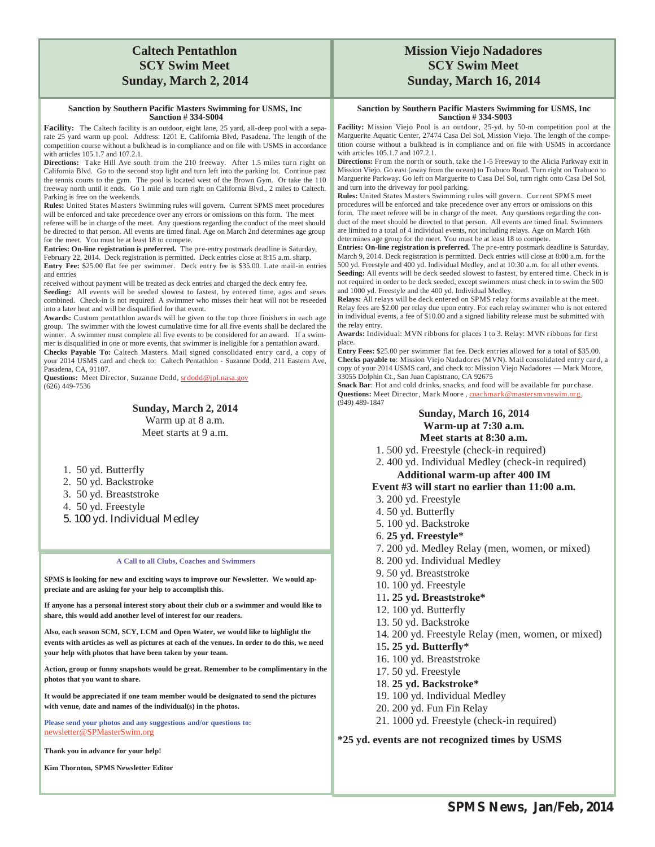## **Caltech Pentathlon SCY Swim Meet Sunday, March 2, 2014**

#### **Sanction by Southern Pacific Masters Swimming for USMS, Inc Sanction # 334-S004**

Facility: The Caltech facility is an outdoor, eight lane, 25 yard, all-deep pool with a separate 25 yard warm up pool. Address: 1201 E. California Blvd, Pasadena. The length of the competition course without a bulkhead is in compliance and on file with USMS in accordance with articles 105.1.7 and 107.2.1.

Directions: Take Hill Ave south from the 210 freeway. After 1.5 miles turn right on California Blvd. Go to the second stop light and turn left into the parking lot. Continue past the tennis courts to the gym. The pool is located west of the Brown Gym. Or take the 110 freeway north until it ends. Go 1 mile and turn right on California Blvd., 2 miles to Caltech. Parking is free on the weekends.

**Rules:** United States Masters Swimming rules will govern. Current SPMS meet procedures will be enforced and take precedence over any errors or omissions on this form. The meet

referee will be in charge of the meet. Any questions regarding the conduct of the meet should be directed to that person. All events are timed final. Age on March 2nd determines age group for the meet. You must be at least 18 to compete.

**Entries: On-line registration is preferred.** The pre-entry postmark deadline is Saturday, February 22, 2014. Deck registration is permitted. Deck entries close at 8:15 a.m. sharp. **Entry Fee:** \$25.00 flat fee per swimmer. Deck entry fee is \$35.00. Late mail-in entries

and entries received without payment will be treated as deck entries and charged the deck entry fee. **Seeding:** All events will be seeded slowest to fastest, by entered time, ages and sexes

combined. Check-in is not required. A swimmer who misses their heat will not be reseeded into a later heat and will be disqualified for that event.

**Awards:** Custom pentathlon awards will be given to the top three finishers in each age group. The swimmer with the lowest cumulative time for all five events shall be declared the winner. A swimmer must complete all five events to be considered for an award. If a swimmer is disqualified in one or more events, that swimmer is ineligible for a pentathlon award. **Checks Payable To:** Caltech Masters. Mail signed consolidated entry card, a copy of

your 2014 USMS card and check to: Caltech Pentathlon - Suzanne Dodd, 211 Eastern Ave, Pasadena, CA, 91107.

Questions: Meet Director, Suzanne Dodd, srdodd@jpl.nasa.gov (626) 449-7536

> **Sunday, March 2, 2014**  Warm up at 8 a.m. Meet starts at 9 a.m.

- 1. 50 yd. Butterfly
- 2. 50 yd. Backstroke
- 3. 50 yd. Breaststroke
- 4. 50 yd. Freestyle
- 5. 100 yd. Individual Medley

#### **A Call to all Clubs, Coaches and Swimmers**

**SPMS is looking for new and exciting ways to improve our Newsletter. We would appreciate and are asking for your help to accomplish this.** 

**If anyone has a personal interest story about their club or a swimmer and would like to share, this would add another level of interest for our readers.** 

**Also, each season SCM, SCY, LCM and Open Water, we would like to highlight the events with articles as well as pictures at each of the venues. In order to do this, we need your help with photos that have been taken by your team.** 

**Action, group or funny snapshots would be great. Remember to be complimentary in the photos that you want to share.** 

**It would be appreciated if one team member would be designated to send the pictures with venue, date and names of the individual(s) in the photos.** 

**Please send your photos and any suggestions and/or questions to:**  newsletter@SPMasterSwim.org

**Thank you in advance for your help!** 

**Kim Thornton, SPMS Newsletter Editor** 

## **Mission Viejo Nadadores SCY Swim Meet Sunday, March 16, 2014**

#### **Sanction by Southern Pacific Masters Swimming for USMS, Inc Sanction # 334-S003**

**Facility:** Mission Viejo Pool is an outdoor, 25-yd. by 50-m competition pool at the Marguerite Aquatic Center, 27474 Casa Del Sol, Mission Viejo. The length of the competition course without a bulkhead is in compliance and on file with USMS in accordance with articles 105.1.7 and 107.2.1.

Directions: From the north or south, take the I-5 Freeway to the Alicia Parkway exit in Mission Viejo. Go east (away from the ocean) to Trabuco Road. Turn right on Trabuco to Marguerite Parkway. Go left on Marguerite to Casa Del Sol, turn right onto Casa Del Sol, and turn into the driveway for pool parking.

**Rules:** United States Masters Swimming rules will gover n. Current SPMS meet procedures will be enforced and take precedence over any errors or omissions on this form. The meet referee will be in charge of the meet. Any questions regarding the conduct of the meet should be directed to that person. All events are timed final. Swimmers are limited to a total of 4 individual events, not including relays. Age on March 16th determines age group for the meet. You must be at least 18 to compete.

**Entries: On-line registration is preferred.** The pre-entry postmark deadline is Saturday, March 9, 2014. Deck registration is permitted. Deck entries will close at 8:00 a.m. for the 500 yd. Freestyle and 400 yd. Individual Medley, and at 10:30 a.m. for all other events. **Seeding:** All events will be deck seeded slowest to fastest, by entered time. Check in is not required in order to be deck seeded, except swimmers must check in to swim the 500 and 1000 yd. Freestyle and the 400 yd. Individual Medley.

**Relays:** All relays will be deck entered on SPMS relay forms available at the meet. Relay fees are \$2.00 per relay due upon entry. For each relay swimmer who is not entered in individual events, a fee of \$10.00 and a signed liability release must be submitted with the relay entry.

**Awards:** Individual: MVN ribbons for places 1 to 3. Relay: MVN ribbons for first place.

**Entry Fees:** \$25.00 per swimmer flat fee. Deck entries allowed for a total of \$35.00. **Checks payable to**: Mission Viejo Nadadores (MVN). Mail consolidated entry car d, a copy of your 2014 USMS card, and check to: Mission Viejo Nadadores — Mark Moore, 33055 Dolphin Ct., San Juan Capistrano, CA 92675

**Snack Bar**: Hot and cold drinks, snacks, and food will be available for purchase. **Questions: Meet Director, Mark Moore, coach** (949) 489-1847

#### **Sunday, March 16, 2014 Warm-up at 7:30 a.m. Meet starts at 8:30 a.m.**

- 1. 500 yd. Freestyle (check-in required)
- 2. 400 yd. Individual Medley (check-in required) **Additional warm-up after 400 IM**

#### **Event #3 will start no earlier than 11:00 a.m.**

- 3. 200 yd. Freestyle
- 4. 50 yd. Butterfly
- 5. 100 yd. Backstroke
- 6. **25 yd. Freestyle\***
- 7. 200 yd. Medley Relay (men, women, or mixed)
- 8. 200 yd. Individual Medley
- 9. 50 yd. Breaststroke
- 10. 100 yd. Freestyle
- 11**. 25 yd. Breaststroke\***
- 12. 100 yd. Butterfly
- 13. 50 yd. Backstroke
- 14. 200 yd. Freestyle Relay (men, women, or mixed)
- 15**. 25 yd. Butterfly\***
- 16. 100 yd. Breaststroke
- 17. 50 yd. Freestyle
- 18. **25 yd. Backstroke\***
- 19. 100 yd. Individual Medley
- 20. 200 yd. Fun Fin Relay
- 21. 1000 yd. Freestyle (check-in required)

**\*25 yd. events are not recognized times by USMS**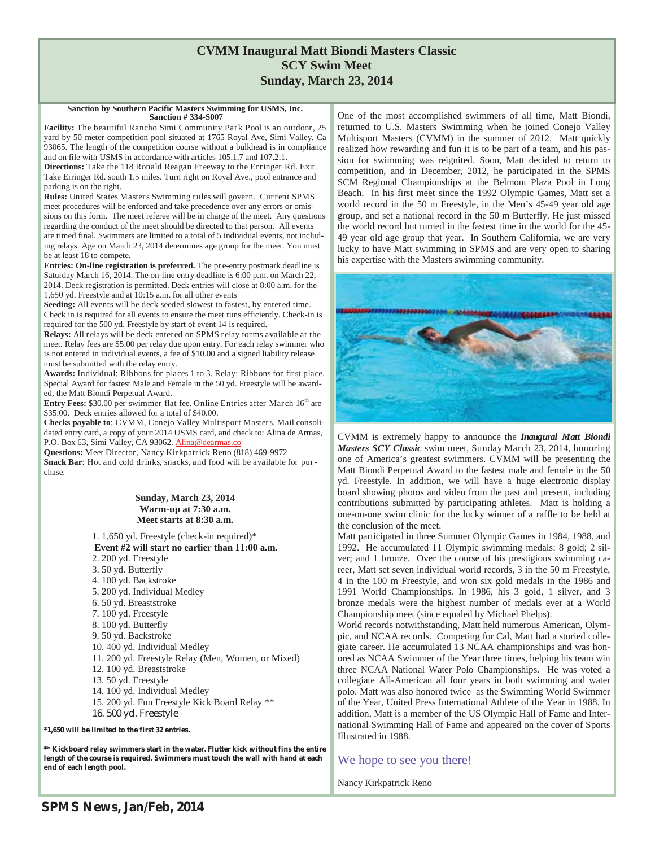## **CVMM Inaugural Matt Biondi Masters Classic SCY Swim Meet Sunday, March 23, 2014**

#### **Sanction by Southern Pacific Masters Swimming for USMS, Inc. Sanction # 334-S007**

**Facility:** The beautiful Rancho Simi Community Park Pool is an outdoor, 25 yard by 50 meter competition pool situated at 1765 Royal Ave, Simi Valley, Ca 93065. The length of the competition course without a bulkhead is in compliance and on file with USMS in accordance with articles 105.1.7 and 107.2.1.

**Directions:** Take the 118 Ronald Reagan Freeway to the Erringer Rd. Exit. Take Erringer Rd. south 1.5 miles. Turn right on Royal Ave., pool entrance and parking is on the right.

**Rules:** United States Masters Swimming rules will govern. Current SPMS meet procedures will be enforced and take precedence over any errors or omissions on this form. The meet referee will be in charge of the meet. Any questions regarding the conduct of the meet should be directed to that person. All events are timed final. Swimmers are limited to a total of 5 individual events, not including relays. Age on March 23, 2014 determines age group for the meet. You must be at least 18 to compete.

**Entries: On-line registration is preferred.** The pre-entry postmark deadline is Saturday March 16, 2014. The on-line entry deadline is 6:00 p.m. on March 22, 2014. Deck registration is permitted. Deck entries will close at 8:00 a.m. for the 1,650 yd. Freestyle and at 10:15 a.m. for all other events

**Seeding:** All events will be deck seeded slowest to fastest, by entered time. Check in is required for all events to ensure the meet runs efficiently. Check-in is required for the 500 yd. Freestyle by start of event 14 is required.

**Relays:** All relays will be deck entered on SPMS relay forms available at the meet. Relay fees are \$5.00 per relay due upon entry. For each relay swimmer who is not entered in individual events, a fee of \$10.00 and a signed liability release must be submitted with the relay entry.

**Awards:** Individual: Ribbons for places 1 to 3. Relay: Ribbons for first place. Special Award for fastest Male and Female in the 50 yd. Freestyle will be awarded, the Matt Biondi Perpetual Award.

**Entry Fees:** \$30.00 per swimmer flat fee. Online Entries after March 16<sup>th</sup> are \$35.00. Deck entries allowed for a total of \$40.00.

**Checks payable to**: CVMM, Conejo Valley Multisport Masters. Mail consolidated entry card, a copy of your 2014 USMS card, and check to: Alina de Armas, P.O. Box 63, Simi Valley, CA 93062. Alina@dearmas.co

**Questions:** Meet Director, Nancy Kirkpatrick Reno (818) 469-9972 **Snack Bar**: Hot and cold drinks, snacks, and food will be available for purchase.

#### **Sunday, March 23, 2014 Warm-up at 7:30 a.m. Meet starts at 8:30 a.m.**

1. 1,650 yd. Freestyle (check-in required)\*  **Event #2 will start no earlier than 11:00 a.m.** 2. 200 yd. Freestyle 3. 50 yd. Butterfly 4. 100 yd. Backstroke 5. 200 yd. Individual Medley 6. 50 yd. Breaststroke 7. 100 yd. Freestyle 8. 100 yd. Butterfly 9. 50 yd. Backstroke 10. 400 yd. Individual Medley 11. 200 yd. Freestyle Relay (Men, Women, or Mixed) 12. 100 yd. Breaststroke 13. 50 yd. Freestyle 14. 100 yd. Individual Medley 15. 200 yd. Fun Freestyle Kick Board Relay \*\* 16. 500 yd. Freestyle **\*1,650 will be limited to the first 32 entries.** 

**\*\* Kickboard relay swimmers start in the water. Flutter kick without fins the entire length of the course is required. Swimmers must touch the wall with hand at each end of each length pool.** 

One of the most accomplished swimmers of all time, Matt Biondi, returned to U.S. Masters Swimming when he joined Conejo Valley Multisport Masters (CVMM) in the summer of 2012. Matt quickly realized how rewarding and fun it is to be part of a team, and his passion for swimming was reignited. Soon, Matt decided to return to competition, and in December, 2012, he participated in the SPMS SCM Regional Championships at the Belmont Plaza Pool in Long Beach. In his first meet since the 1992 Olympic Games, Matt set a world record in the 50 m Freestyle, in the Men's 45-49 year old age group, and set a national record in the 50 m Butterfly. He just missed the world record but turned in the fastest time in the world for the 45- 49 year old age group that year. In Southern California, we are very lucky to have Matt swimming in SPMS and are very open to sharing his expertise with the Masters swimming community.



CVMM is extremely happy to announce the *Inaugural Matt Biondi Masters SCY Classic* swim meet, Sunday March 23, 2014, honoring one of America's greatest swimmers. CVMM will be presenting the Matt Biondi Perpetual Award to the fastest male and female in the 50 yd. Freestyle. In addition, we will have a huge electronic display board showing photos and video from the past and present, including contributions submitted by participating athletes. Matt is holding a one-on-one swim clinic for the lucky winner of a raffle to be held at the conclusion of the meet.

Matt participated in three Summer Olympic Games in 1984, 1988, and 1992. He accumulated 11 Olympic swimming medals: 8 gold; 2 silver; and 1 bronze. Over the course of his prestigious swimming career, Matt set seven individual world records, 3 in the 50 m Freestyle, 4 in the 100 m Freestyle, and won six gold medals in the 1986 and 1991 World Championships. In 1986, his 3 gold, 1 silver, and 3 bronze medals were the highest number of medals ever at a World Championship meet (since equaled by Michael Phelps).

World records notwithstanding, Matt held numerous American, Olympic, and NCAA records. Competing for Cal, Matt had a storied collegiate career. He accumulated 13 NCAA championships and was honored as NCAA Swimmer of the Year three times, helping his team win three NCAA National Water Polo Championships. He was voted a collegiate All-American all four years in both swimming and water polo. Matt was also honored twice as the Swimming World Swimmer of the Year, United Press International Athlete of the Year in 1988. In addition, Matt is a member of the US Olympic Hall of Fame and International Swimming Hall of Fame and appeared on the cover of Sports Illustrated in 1988.

### We hope to see you there!

Nancy Kirkpatrick Reno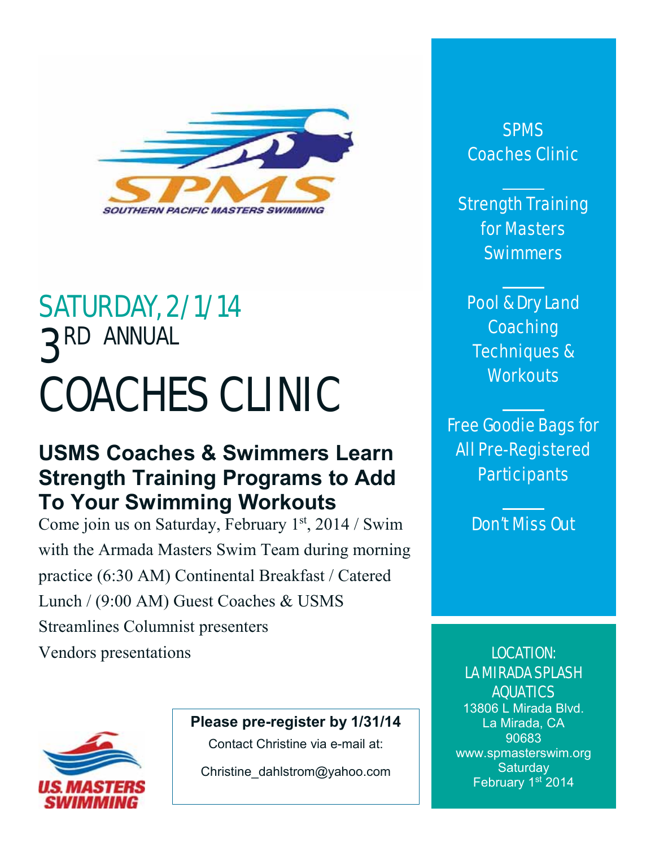

# SATURDAY, 2/1/14 3RD ANNUAL COACHES CLINIC

# **USMS Coaches & Swimmers Learn Strength Training Programs to Add To Your Swimming Workouts**

Come join us on Saturday, February 1<sup>st</sup>, 2014 / Swim with the Armada Masters Swim Team during morning practice (6:30 AM) Continental Breakfast / Catered Lunch / (9:00 AM) Guest Coaches & USMS Streamlines Columnist presenters Vendors presentations



**Please pre-register by 1/31/14**

Contact Christine via e-mail at:

Christine\_dahlstrom@yahoo.com

SPMS Coaches Clinic

Strength Training for Masters **Swimmers** 

Pool & Dry Land **Coaching** Techniques & **Workouts** 

Free Goodie Bags for All Pre-Registered **Participants** 

Don't Miss Out

LOCATION: LA MIRADA SPLASH AQUATICS

13806 L Mirada Blvd. La Mirada, CA 90683 www.spmasterswim.org **Saturday** February 1st 2014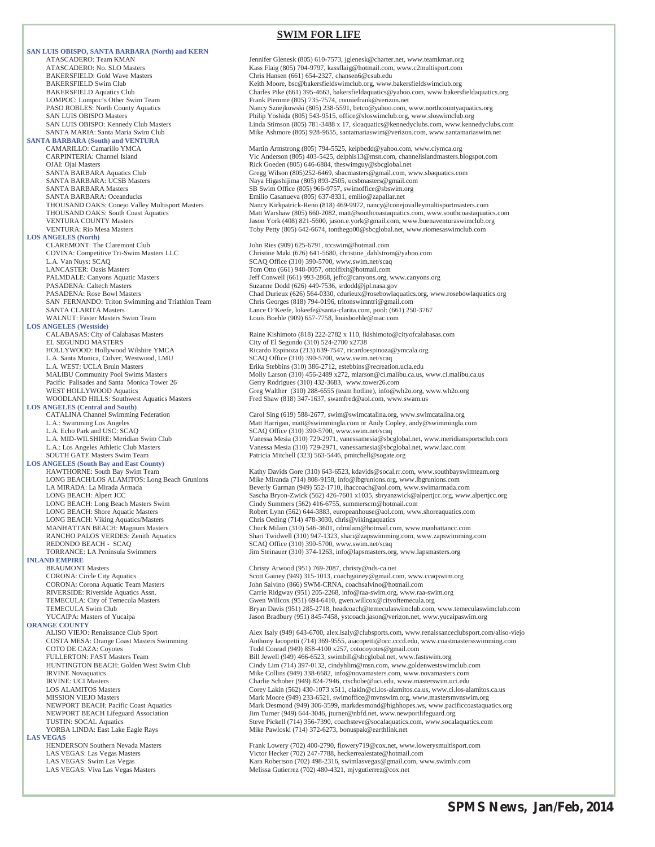#### **SWIM FOR LIFE**

**SAN LUIS OBISPO, SANTA BARBARA (North) and KERN**  BAKERSFIELD: Gold Wave Masters Chris Hansen (661) 654-2327, chansen 6@csub.edu<br>BAKERSFIELD Swim Club Chris Hansen (661) 654-2327, chansen6@csub.edu **SANTA BARBARA (South) and VENTURA**  SANTA BARBARA: Oceanducks Emilio Casanueva (805) 637-8331, emilio@zapallar.net **LOS ANGELES (North)** CLAREMONT: The Claremont Club John Ries (909) 625-6791, tccswim@hotmail.com<br>COVINA: Competitive Tri-Swim Masters LLC Claremont Christine Maki (626) 641-5680, christine\_dahlstro L.A. Van Nuys: SCAQ SCAQ Office (310) 390-5700, www.swim.net/scaq LANCASTER: Oasis Masters Tom Otto (661) 948-0057, ottolfixit@hotmail.com PASADENA: Caltech Masters Suzanne Dodd (626) 449-7536, srdodd@jpl.nasa.gov<br>PASADENA: Rose Bowl Masters Surface Supervisor Chad Durieux (626) 564-0330, cdurieux @rosebowlac SAN FERNANDO: Triton Swimming and Triathlon Team<br>SANTA CLARITA Masters **LOS ANGELES (Westside)** L.A. Santa Monica, Culver, Westwood, LMU SCAQ Office (310) 390-5700, www.swim.net/scaq Pacific Palisades and Santa Monica Tower 26 Gerry Rodrigues (310) 432-3683, www.tower26.com<br>WEST HOLLYWOOD Aquatics Gree Walther (310) 288-6555 (team hotline), info@w **LOS ANGELES (Central and South)**  L.A. Echo Park and USC: SCAQ CHEC (310) 390-5700, www.swim.net/scaq<br>
L.A. MID-WILSHIRE: Meridian Swim Club Vanessa Mesia (310) 729-2971, vanessamesia@sbc SOUTH GATE Masters Swim Team Patricia Mitchell (323) 563-5446, pmitchell@sogate.org **LOS ANGELES (South Bay and East County)**  LONG BEACH: Viking Aquatics/Masters Chris Oeding (714) 478-3030, chris @vikingaquatics<br>MANHATTAN BEACH: Magnum Masters Chuck Milam (310) 546-3601, cdmilam@hotmail.co REDONDO BEACH - SCAQ SCAQ SCAQ SCAQ Office (310) 390-5700, www.swim.net/scaq **INLAND EMPIRE**  BEAUMONT Masters<br>CORONA: Circle City Aquatics CORONA: Circle Coronalisty Arwood (951) 769-2087, christy@nds-ca.net<br>Scott Gainey (949) 315-1013, coachgainey@gmail.cc CORONA: Corona Aquatic Team Masters John Salvino (866) SWM-CRNA, coachsalvino@hotmail.com<br>RIVERSIDE: Riverside Aquatics Assn. Carrie Ridgway (951) 205-2268, info@raa-swim.org, www.raa RIVERSIDE: Riverside Aquatics Assn. Carrie Ridgway (951) 205-2268, info@raa-swim.org, www.raa-swim.org<br>TEMECULA: City of Temecula Masters Carrie Communication (SSL) 694-6410, gwen.willcox@cityoftemecula.org TEMECULA Swim Club Bryan Davis (951) 285-2718, headcoach@temeculaswimclub.com, www.temeculaswimclub.com YUCAIPA: Masters of Yucaipa Jason Bradbury (951) 845-7458, ystcoach.jason@verizon.net, www.yucaipaswim.org **ORANGE COUNTY<br>ALISO VIEJO:** Renaissance Club Sport YORBA LINDA: East Lake Eagle Rays Mike Pawloski (714) 372-6273, bonuspak@earthlink.net **LAS VEGAS**<br> **HENDERSON Southern Nevada Masters** 

ATASCADERO: Team KMAN Jennifer Glenesk (805) 610-7573, jglenesk@charter.net, www.teamkman.org<br>ATASCADERO: No. SLO Masters States (805) 704-9797, kassflaig@hotmail.com, www.c2multisport.com ATASCADERO: No. SLO Masters (805) 704-9797, kassflaig@hotmail.com, www.c2multisport.com<br>RAKERSFIELD: Gold Wave Masters (600 (1) 654-2327, chansen6@csub.edu BAKERSFIELD Swim Club Keith Moore, bsc@bakersfieldswimclub.org, www.bakersfieldswimclub.org<br>BAKERSFIELD Aquatics Club Charles Pike (661) 395-4663, bakersfieldaquatics@yahoo.com, www.bakers Charles Pike (661) 395-4663, bakersfieldaquatics@yahoo.com, www.bakersfieldaquatics.org LOMPOC: Lompoc's Other Swim Team Frank Piemme (805) 735-7574, conniefrank@verizon.net<br>PASO ROBLES: North County Aquatics Frank Piemme (805) 238-5591, betco@yahoo.com, PASO ROBLES: North County Aquatics Nancy Sznejkowski (805) 238-5591, betco@yahoo.com, www.northcountyaquatics.org<br>Philip Yoshida (805) 543-9515, office@sloswimclub.org, www.sloswimclub.org SAN LUIS OBISPO Masters<br>
SAN LUIS OBISPO: Kennedy Club Masters<br>
Linda Stimson (805) 781-3488 x 17, sloaquatics@kennedyclubs.com, www.kenn SAN LUIS OBISPO: Kennedy Club Masters Linda Stimson (805) 781-3488 x 17, sloaquatics@kennedyclubs.com, www.kennedyclubs.com<br>SANTA MARIA: Santa Maria Swim Club Club Mike Ashmore (805) 928-9655, santamariaswim@verizon.com, w Mike Ashmore (805) 928-9655, santamariaswim@verizon.com, www.santamariaswim.net CAMARILLO: Camarillo YMCA<br>CARPINTERIA: Channel Island The Martin Armstrong (805) 794-5525, kelpbedd@yahoo.com, www.ciymca.org<br>Vic Anderson (805) 403-5425, delphis13@msn.com, channelislandmasters.b CARPINTERIA: Channel Island Vic Anderson (805) 403-5425, delphis13@msn.com, channelislandmasters.blogspot.com<br>CIAI: Oiai Masters Claudia Channel Victory (805) 646-6884. theswimeuv@sbcelobal.net OJAI: Ojai Masters **CAU Access 2018** 1.0 COJAI: Ojai Masters Rick Goeden (805) 646-6884, theswimguy@sbcglobal.net<br>
SANTA BARBARA Aquatics Club **Causes 2018** Cregg Wilson (805)252-6469, sbacmasters @gmail.com, w SANTA BARBARA Aquatics Club Gregg Wilson (805)252-6469, sbacmasters@gmail.com, www.sbaquatics.com<br>SANTA BARBARA: UCSB Masters<br>Maya Higashijima (805) 893-2505, ucsbmasters@gmail.com SANTA BARBARA: UCSB Masters Naya Higashijima (805) 893-2505, ucsbmasters@gmail.com<br>SANTA BARBARA Masters National SB Swim Office (805) 966-9757, swimoffice@sbswim.org SB Swim Office (805) 966-9757, swimoffice@sbswim.org Nancy Kirkpatrick-Reno (818) 469-9972, nancy@conejovalleymultisportmasters.com THOUSAND OAKS: South Coast Aquatics Matt Warshaw (805) 660-2082, matt@southcoastaquatics.com, www.southcoastaquatics.com VENTURA COUNTY Masters<br>1998 VENTURA: Rio Mesa Masters Jason York (408) 821-5600, jason.e.york@gmail.com, www.buenaventuraswimclub.org<br>1999 VENTURA: Rio Mesa Masters Jason York (408) 842-6674, tonthego00@sbcglobal.net, www. Toby Petty (805) 642-6674, tonthego00@sbcglobal.net, www.riomesaswimclub.com Christine Maki (626) 641-5680, christine\_dahlstrom@yahoo.com PALMDALE: Canyons Aquatic Masters **Jeff Conwell (661) 993-2868**, jeffc@canyons.org, www.canyons.org<br>PASADENA: Caltech Masters **Jeff Conwell (6626)** 993-2868, jeffc@canyons.org Chad Durieux (626) 564-0330, cdurieux @rosebowlaquatics.org, www.rosebowlaquatics.org<br>Chris Georges (818) 794-0196, tritonswimntri@gmail.com SANTA CLARITA Masters<br>
WALNUT: Faster Masters Swim Team Louis Boehle (909) 657-7758. louisboehle@mac.com<br>
Louis Boehle (909) 657-7758. louisboehle@mac.com Louis Boehle (909) 657-7758, louisboehle@mac.com CALABASAS: City of Calabasas Masters Raine Kishimoto (818) 222-2782 x 110, lkishimoto@cityofcalabasas.com<br>EL SEGUNDO MASTERS City of El Segundo (310) 524-2700 x2738 HOLLYWOOD: Hollywood Wilshire YMCA Ricardo Espinoza (213) 639-7547, ricardoespinoza@ymcala.org L.A. WEST: UCLA Bruin Masters Friends and Erika Stebbins (310) 386-2712, estebbins @recreation.ucla.edu<br>MALIBU Community Pool Swims Masters Friends and Molly Larson (310) 456-2489 x272, mlarson @ci.malibu.ca.us, Molly Larson (310) 456-2489 x272, mlarson@ci.malibu.ca.us, www.ci.malibu.ca.us WEST HOLLYWOOD Aquatics<br>WOODLAND HILLS: Southwest Aquatics Masters<br>Fred Shaw (818) 347-1637, swamfred@aol.com, www.swam.us Fred Shaw (818) 347-1637, swamfred@aol.com, www.swam.us CATALINA Channel Swimming Federation Carol Sing (619) 588-2677, swim@swimcatalina.org, www.swimcatalina.org<br>Carol Sing (619) 588-2677, swim@swimmingla.org, www.swimcatalina.org<br>Matt Harrigan, matt@swimmingla.com or Andy Co Matt Harrigan, matt@swimmingla.com or Andy Copley, andy@swimmingla.com L.A. MID-WILSHIRE: Meridian Swim Club Namessa (110) 729-2971, vanessamesia@sbcglobal.net, www.meridiansportsclub.com<br>L.A.: Los Angeles Athletic Club Masters Namessa Mesia (310) 729-2971, vanessamesia@sbcglobal.net, www.laa HAWTHORNE: South Bay Swim Team Kathy Davids Gore (310) 643-6523, kdavids@socal.rr.com, www.southbayswimteam.org<br>And BEACH/LOS ALAMITOS: Long Beach Grunions Mike Miranda (714) 808-9158, info@lbgrunions.org, www.lbgrunions.c LONG BEACH/LOS ALAMITOS: Long Beach Grunions Mike Miranda (714) 808-9158, info@lbgrunions.org, www.lbgrunions.com<br>LA MIRADA: La Mirada Armada Amada (1999) 552-1710, inaccoach@aol.com, www.swimarmada.com Beverly Garman (949) 552-1710, ihaccoach@aol.com, www.swimarmada.com LONG BEACH: Alpert JCC Sascha Bryon-Zwick (562) 426-7601 x1035, sbryanzwick@alpertjcc.org, www.alpertjcc.org<br>
LONG BEACH: Long Beach Masters Swim Cindy Summers (562) 416-6755, summerscm@hotmail.com LONG BEACH: Long Beach Masters Swim Cindy Summers (562) 416-6755, summerscm@hotmail.com<br>CONG BEACH: Shore Aquatic Masters Come Contract Come Robert Lynn (562) 644-3883, europeanhouse@aol.com, www LONG BEACH: Shore Aquatic Masters **Robert Lynn** (562) 644-3883, europeanhouse@aol.com, www.shoreaquatics.com<br>
LONG BEACH: Viking Aquatics/Masters **Robert Lynn** (562) 644-3883, europeanhouse@aol.com, www.shoreaquatics.com MANHATTAN BEACH: Magnum Masters Chuck Milam (310) 546-3601, cdmilam@hotmail.com, www.manhattancc.com<br>RANCHO PALOS VERDES: Zenith Aquatics Shari Twidwell (310) 947-1323, shari@zapswimming.com, www.zapswimming Shari Twidwell (310) 947-1323, shari@zapswimming.com, www.zapswimming.com TORRANCE: LA Peninsula Swimmers Jim Steinauer (310) 374-1263, info@lapsmasters.org, www.lapsmasters.org CORONA: Circle City Aquatics Scott Gainey (949) 315-1013, coachgainey@gmail.com, www.ccaqswim.org<br>CORONA: Corona Aquatic Team Masters Scott Gainey (949) 315-1013, coachsalvino@hotmail.com

ALISO VIEJO: Renaissance Club Sport Alex Isaly (949) 643-6700, alex.isaly@clubsports.com, www.renaissanceclubsport.com/aliso-viejo<br>
Anthony Iacopetti (714) 369-9555, aiacopetti @occ.cccd.edu, www.coastmastersswimming.com COSTA MESA: Orange Coast Masters Swimming Anthony Iacopetti (714) 369-9555, aiacopetti@occ.cccd.edu, www.coastmastersswimming.com<br>COTO DE CAZA: Coyotes Correspondent Correspondent Correspondent Correspondent Correspondent COTO DE CAZA: Coyotes Todd Conrad (949) 858-4100 x257, cotocoyotes@gmail.com Bill Jewell (949) 466-6523, swimbill@sbcglobal.net, www.fastswim.org HUNTINGTON BEACH: Golden West Swim Club Cindy Lim (714) 397-0132, cindyhlim@msn.com, www.goldenwestswimclub.com IRVINE Novaquatics **IRVINE Novaquatics** Mike Collins (949) 338-6682, info@novamasters.com, www.novamasters.com<br>IRVINE: UCI Masters **IRVINE:** UCI Masters with unclear the Scholar Charlie Schober (949) 824-7946, ctschobe@uci IRVINE: UCI Masters<br>
IN COLORATION Masters Charlie Schober (949) 824-7946, ctschobe@uci.edu, www.masterswim.uci.edu<br>
LOS ALAMITOS Masters Corey Lakin (562) 430-1073 x511, clakin@ci.los-alamitos.ca.us, www.ci.los-al LOS ALAMITOS Masters **Corey Lakin (562) 430-1073 x511**, clakin@ci.los-alamitos.ca.us, www.ci.los-alamitos.ca.us<br>MISSION VIEJO Masters **Corey Laking Corey Lakin (662)** 233-6521, swimoffice@mvnswim.org, www.mastersmvnswim.or MISSION VIEJO Masters Mark Moore (949) 233-6521, swimoffice@mvnswim.org, www.mastersmvnswim.org<br>Mark Desmond (949) 306-3599, markdesmond@highhopes.ws, www.pacificcoastaqua<br/>
Mark Desmond (949) 306-3599, markdesmond@high NEWPORT BEACH: Pacific Coast Aquatics Mark Desmond (949) 306-3599, markdesmond@highhopes.ws, www.pacificcoastaquatics.org NEWPORT BEACH Lifeguard Association Jim Turner (949) 644-3046, jturner@nbfd.net, www.newportlifeguard.org<br>TUSTIN: SOCAL Aquatics Steve Pickell (714) 356-7390, coachsteve@socalaquatics.com, www.socalaquatics.com

HENDERSON Southern Nevada Masters Frank Lowery (702) 400-2790, flowery 719@cox.net, www.lowerysmultisport.com<br>
LAS VEGAS: Las Vegas Masters Victor Hecker (702) 247-7788, heckerrealestate@hotmail.com LAS VEGAS: Las Vegas Masters Victor Hecker (702) 247-7788, heckerrealestate@hotmail.com<br>
LAS VEGAS: Swim Las Vegas Vegas Victor Hecker (702) 2498-2316, swimlasvegas@gmail.com, w LAS VEGAS: Swim Las Vegas Kara Robertson (702) 498-2316, swimlasvegas@gmail.com, www.swimlv.com<br>
LAS VEGAS: Viva Las Vegas Masters Kara Robertson (702) 498-2316, swimlasvegas@gmail.com, www.swimlv.com Melissa Gutierrez (702) 480-4321, mjvgutierrez@cox.net

Gwen Willcox (951) 694-6410, gwen.willcox@cityoftemecula.org